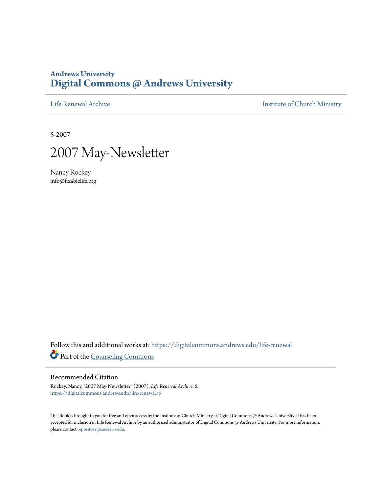#### **Andrews University [Digital Commons @ Andrews University](https://digitalcommons.andrews.edu/?utm_source=digitalcommons.andrews.edu%2Flife-renewal%2F6&utm_medium=PDF&utm_campaign=PDFCoverPages)**

[Life Renewal Archive](https://digitalcommons.andrews.edu/life-renewal?utm_source=digitalcommons.andrews.edu%2Flife-renewal%2F6&utm_medium=PDF&utm_campaign=PDFCoverPages) **[Institute of Church Ministry](https://digitalcommons.andrews.edu/icm?utm_source=digitalcommons.andrews.edu%2Flife-renewal%2F6&utm_medium=PDF&utm_campaign=PDFCoverPages)** 

5-2007



Nancy Rockey info@fixablelife.org

Follow this and additional works at: [https://digitalcommons.andrews.edu/life-renewal](https://digitalcommons.andrews.edu/life-renewal?utm_source=digitalcommons.andrews.edu%2Flife-renewal%2F6&utm_medium=PDF&utm_campaign=PDFCoverPages) Part of the [Counseling Commons](http://network.bepress.com/hgg/discipline/1268?utm_source=digitalcommons.andrews.edu%2Flife-renewal%2F6&utm_medium=PDF&utm_campaign=PDFCoverPages)

#### Recommended Citation

Rockey, Nancy, "2007 May-Newsletter" (2007). *Life Renewal Archive*. 6. [https://digitalcommons.andrews.edu/life-renewal/6](https://digitalcommons.andrews.edu/life-renewal/6?utm_source=digitalcommons.andrews.edu%2Flife-renewal%2F6&utm_medium=PDF&utm_campaign=PDFCoverPages)

This Book is brought to you for free and open access by the Institute of Church Ministry at Digital Commons @ Andrews University. It has been accepted for inclusion in Life Renewal Archive by an authorized administrator of Digital Commons @ Andrews University. For more information, please contact [repository@andrews.edu.](mailto:repository@andrews.edu)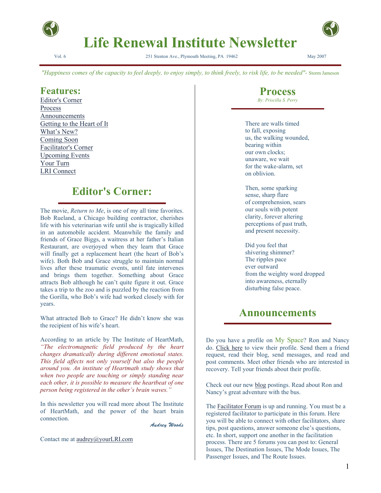

**Life Renewal Institute Newsletter** 

Vol. 6 251 Stenton Ave., Plymouth Meeting, PA 19462 May 2007

*"Happiness comes of the capacity to feel deeply, to enjoy simply, to think freely, to risk life, to be needed"-* Storm Jameson

#### **Features:**

Editor's Corner Process Announcements Getting to the Heart of It What's New? Coming Soon Facilitator's Corner Upcoming Events Your Turn LRI Connect

#### **Editor's Corner:**

The movie, *Return to Me*, is one of my all time favorites. Bob Rueland, a Chicago building contractor, cherishes life with his veterinarian wife until she is tragically killed in an automobile accident. Meanwhile the family and friends of Grace Biggs, a waitress at her father's Italian Restaurant, are overjoyed when they learn that Grace will finally get a replacement heart (the heart of Bob's wife). Both Bob and Grace struggle to maintain normal lives after these traumatic events, until fate intervenes and brings them together. Something about Grace attracts Bob although he can't quite figure it out. Grace takes a trip to the zoo and is puzzled by the reaction from the Gorilla, who Bob's wife had worked closely with for years.

What attracted Bob to Grace? He didn't know she was the recipient of his wife's heart.

According to an article by The Institute of HeartMath, *"The electromagnetic field produced by the heart changes dramatically during different emotional states. This field affects not only yourself but also the people around you. An institute of Heartmath study shows that when two people are touching or simply standing near each other, it is possible to measure the heartbeat of one person being registered in the other's brain waves."*

In this newsletter you will read more about The Institute of HeartMath, and the power of the heart brain connection.

Audrey Woods

Contact me at audrey@yourLRI.com

**Process**  *By: Priscilla S. Perry* 

There are walls timed to fall, exposing us, the walking wounded, bearing within our own clocks; unaware, we wait for the wake-alarm, set on oblivion.

Then, some sparking sense, sharp flare of comprehension, sears our souls with potent clarity, forever altering perceptions of past truth, and present necessity.

Did you feel that shivering shimmer? The ripples pace ever outward from the weighty word dropped into awareness, eternally disturbing false peace.

#### **Announcements**

Do you have a profile on My Space? Ron and Nancy do. Click here to view their profile. Send them a friend request, read their blog, send messages, and read and post comments. Meet other friends who are interested in recovery. Tell your friends about their profile.

Check out our new blog postings. Read about Ron and Nancy's great adventure with the bus.

The Facilitator Forum is up and running. You must be a registered facilitator to participate in this forum. Here you will be able to connect with other facilitators, share tips, post questions, answer someone else's questions, etc. In short, support one another in the facilitation process. There are 5 forums you can post to: General Issues, The Destination Issues, The Mode Issues, The Passenger Issues, and The Route Issues.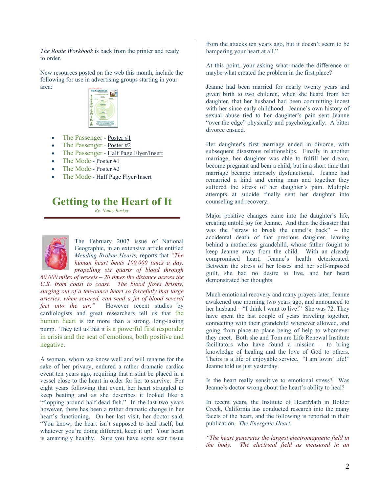*The Route Workbook* is back from the printer and ready to order.

New resources posted on the web this month, include the following for use in advertising groups starting in your area:



- The Passenger Poster #1
- The Passenger Poster #2
- The Passenger Half Page Flyer/Insert
- The Mode Poster #1
- The Mode Poster #2
- The Mode Half Page Flyer/Insert

### **Getting to the Heart of It**

*By: Nancy Rockey*



The February 2007 issue of National Geographic, in an extensive article entitled *Mending Broken Hearts,* reports that *"The human heart beats 100,000 times a day, propelling six quarts of blood through* 

*60,000 miles of vessels – 20 times the distance across the U.S. from coast to coast. The blood flows briskly, surging out of a ten-ounce heart so forcefully that large arteries, when severed, can send a jet of blood several feet into the air."* However recent studies by cardiologists and great researchers tell us that the human heart is far more than a strong, long-lasting pump. They tell us that it is a powerful first responder in crisis and the seat of emotions, both positive and negative.

A woman, whom we know well and will rename for the sake of her privacy, endured a rather dramatic cardiac event ten years ago, requiring that a stint be placed in a vessel close to the heart in order for her to survive. For eight years following that event, her heart struggled to keep beating and as she describes it looked like a "flopping around half dead fish." In the last two years however, there has been a rather dramatic change in her heart's functioning. On her last visit, her doctor said, "You know, the heart isn't supposed to heal itself, but whatever you're doing different, keep it up! Your heart is amazingly healthy. Sure you have some scar tissue

from the attacks ten years ago, but it doesn't seem to be hampering your heart at all."

At this point, your asking what made the difference or maybe what created the problem in the first place?

Jeanne had been married for nearly twenty years and given birth to two children, when she heard from her daughter, that her husband had been committing incest with her since early childhood. Jeanne's own history of sexual abuse tied to her daughter's pain sent Jeanne "over the edge" physically and psychologically. A bitter divorce ensued.

Her daughter's first marriage ended in divorce, with subsequent disastrous relationships. Finally in another marriage, her daughter was able to fulfill her dream, become pregnant and bear a child, but in a short time that marriage became intensely dysfunctional. Jeanne had remarried a kind and caring man and together they suffered the stress of her daughter's pain. Multiple attempts at suicide finally sent her daughter into counseling and recovery.

Major positive changes came into the daughter's life, creating untold joy for Jeanne. And then the disaster that was the "straw to break the camel's back" – the accidental death of that precious daughter, leaving behind a motherless grandchild, whose father fought to keep Jeanne away from the child. With an already compromised heart, Jeanne's health deteriorated. Between the stress of her losses and her self-imposed guilt, she had no desire to live, and her heart demonstrated her thoughts.

Much emotional recovery and many prayers later, Jeanne awakened one morning two years ago, and announced to her husband – "I think I want to live!" She was 72. They have spent the last couple of years traveling together, connecting with their grandchild whenever allowed, and going from place to place being of help to whomever they meet. Both she and Tom are Life Renewal Institute facilitators who have found a mission – to bring knowledge of healing and the love of God to others. Theirs is a life of enjoyable service. "I am lovin' life!" Jeanne told us just yesterday.

Is the heart really sensitive to emotional stress? Was Jeanne's doctor wrong about the heart's ability to heal?

In recent years, the Institute of HeartMath in Bolder Creek, California has conducted research into the many facets of the heart, and the following is reported in their publication, *The Energetic Heart*.

*"The heart generates the largest electromagnetic field in the body. The electrical field as measured in an*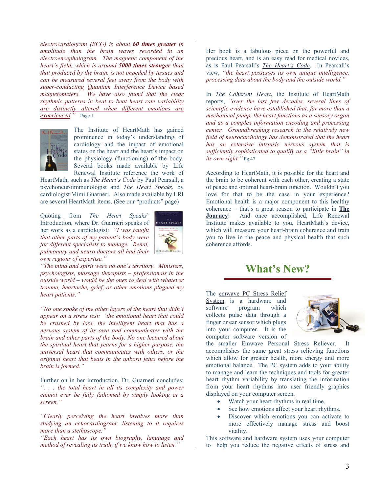*electrocardiogram (ECG) is about 60 times greater in amplitude than the brain waves recorded in an electroencephalogram. The magnetic component of the heart's field, which is around 5000 times stronger than that produced by the brain, is not impeded by tissues and can be measured several feet away from the body with super-conducting Quantum Interference Device based magnetometers. We have also found that the clear rhythmic patterns in beat to beat heart rate variability are distinctly altered when different emotions are experienced."* Page 1



The Institute of HeartMath has gained prominence in today's understanding of cardiology and the impact of emotional states on the heart and the heart's impact on the physiology (functioning) of the body. Several books made available by Life Renewal Institute reference the work of

HeartMath, such as *The Heart's Code* by Paul Pearsall, a psychoneuroimmunologist and *The Heart Speaks*, by cardiologist Mimi Guarneri. Also made available by LRI are several HeartMath items. (See our "products" page)

Quoting from *The Heart Speaks*' Introduction, where Dr. Guarneri speaks of her work as a cardiologist: *"I was taught that other parts of my patient's body were for different specialists to manage. Renal, pulmonary and neuro doctors all had their own regions of expertise."* 



*"The mind and spirit were no one's territory. Ministers, psychologists, massage therapists – professionals in the outside world – would be the ones to deal with whatever trauma, heartache, grief, or other emotions plagued my heart patients."* 

*"No one spoke of the other layers of the heart that didn't appear on a stress test: 'the emotional heart that could be crushed by loss, the intelligent heart that has a nervous system of its own and communicates with the brain and other parts of the body. No one lectured about the spiritual heart that yearns for a higher purpose, the universal heart that communicates with others, or the original heart that beats in the unborn fetus before the brain is formed."*

Further on in her introduction, Dr. Guarneri concludes: *". . . the total heart in all its complexity and power cannot ever be fully fathomed by simply looking at a screen."*

*"Clearly perceiving the heart involves more than studying an echocardiogram; listening to it requires more than a stethoscope."* 

*"Each heart has its own biography, language and method of revealing its truth, if we know how to listen."*

Her book is a fabulous piece on the powerful and precious heart, and is an easy read for medical novices, as is Paul Pearsall's *The Heart's Code*. In Pearsall's view, *"the heart possesses its own unique intelligence, processing data about the body and the outside world."*

In *The Coherent Heart*, the Institute of HeartMath reports, *"over the last few decades, several lines of scientific evidence have established that, far more than a mechanical pump, the heart functions as a sensory organ and as a complex information encoding and processing center. Groundbreaking research in the relatively new field of neurocardiology has demonstrated that the heart has an extensive intrinsic nervous system that is sufficiently sophisticated to qualify as a "little brain" in its own right."* Pg.47

According to HeartMath, it is possible for the heart and the brain to be coherent with each other, creating a state of peace and optimal heart-brain function. Wouldn't you love for that to be the case in your experience? Emotional health is a major component to this healthy coherence – that's a great reason to participate in **The Journey**! And once accomplished, Life Renewal Institute makes available to you, HeartMath's device, which will measure your heart-brain coherence and train you to live in the peace and physical health that such coherence affords.

# **What's New?**

The emwave PC Stress Relief System is a hardware and software program which collects pulse data through a finger or ear sensor which plugs into your computer. It is the computer software version of



the smaller Emwave Personal Stress Reliever. It accomplishes the same great stress relieving functions which allow for greater health, more energy and more emotional balance. The PC system adds to your ability to manage and learn the techniques and tools for greater heart rhythm variability by translating the information from your heart rhythms into user friendly graphics displayed on your computer screen.

- Watch your heart rhythms in real time.
- See how emotions affect your heart rhythms.
- Discover which emotions you can activate to more effectively manage stress and boost vitality.

This software and hardware system uses your computer to help you reduce the negative effects of stress and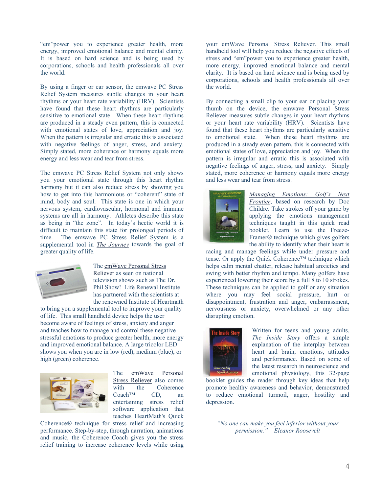"em"power you to experience greater health, more energy, improved emotional balance and mental clarity. It is based on hard science and is being used by corporations, schools and health professionals all over the world.

By using a finger or ear sensor, the emwave PC Stress Relief System measures subtle changes in your heart rhythms or your heart rate variability (HRV). Scientists have found that these heart rhythms are particularly sensitive to emotional state. When these heart rhythms are produced in a steady even pattern, this is connected with emotional states of love, appreciation and joy. When the pattern is irregular and erratic this is associated with negative feelings of anger, stress, and anxiety. Simply stated, more coherence or harmony equals more energy and less wear and tear from stress.

The emwave PC Stress Relief System not only shows you your emotional state through this heart rhythm harmony but it can also reduce stress by showing you how to get into this harmonious or "coherent" state of mind, body and soul. This state is one in which your nervous system, cardiovascular, hormonal and immune systems are all in harmony. Athletes describe this state as being in "the zone". In today's hectic world it is difficult to maintain this state for prolonged periods of time. The emwave PC Stress Relief System is a supplemental tool in *The Journey* towards the goal of greater quality of life.



The emWave Personal Stress Reliever as seen on national television shows such as The Dr. Phil Show! Life Renewal Institute has partnered with the scientists at the renowned Institute of Heartm ath

to bring you a supplemental tool to improve your quality of life. This small handheld device helps the user become aware of feelings of stress, anxiety and anger and teaches how to manage and control these negativ e stressful emotions to produce greater health, more ener gy and improved emotional balance. A large tricolor LED shows you when you are in low (red), medium (blue) , or high (green) coherence.



The emWave Personal Stress Reliever also comes with the Coherence Coach™ CD, an entertaining stress relief software application that teaches HeartMath's Quick

Coherence® technique for stress relief and increasing performance. Step-by-step, through narration, animations and music, the Coherence Coach gives you the stress relief training to increase coherence levels while using your emWave Personal Stress Reliever. This small handheld tool will help you reduce the negative effects of stress and "em"power you to experience greater health, more energy, improved emotional balance and mental clarity. It is based on hard science and is being used by corporations, schools and health professionals all over the world.

By connecting a small clip to your ear or placing your thumb on the device, the emwave Personal Stress Reliever measures subtle changes in your heart rhythms or your heart rate variability (HRV). Scientists have found that these heart rhythms are particularly sensitive to emotional state. When these heart rhythms are produced in a steady even pattern, this is connected with emotional states of love, appreciation and joy. When the pattern is irregular and erratic this is associated with negative feelings of anger, stress, and anxiety. Simply stated, more coherence or harmony equals more energy and less wear and tear from stress.



*Managing Emotions: Golf's Next Frontier*, based on research by Doc Childre. Take strokes off your game by applying the emotions management techniques taught in this quick read booklet. Learn to use the Freeze-Framer® technique which gives golfers the ability to identify when their heart is

racing and manage feelings while under pressure and tense. Or apply the Quick Coherence™ technique which helps calm mental chatter, release habitual anxieties and swing with better rhythm and tempo. Many golfers have experienced lowering their score by a full 8 to 10 strokes. These techniques can be applied to golf or any situation where you may feel social pressure, hurt or disappointment, frustration and anger, embarrassment, nervousness or anxiety, overwhelmed or any other disrupting emotion.



Written for teens and young adults, *The Inside Story* offers a simple explanation of the interplay between heart and brain, emotions, attitudes and performance. Based on some of the latest research in neuroscience and emotional physiology, this 32-page

booklet guides the reader through key ideas that help promote healthy awareness and behavior, demonstrated to reduce emotional turmoil, anger, hostility and depression.

*"No one can make you feel inferior without your permission." – Eleanor Roosevelt*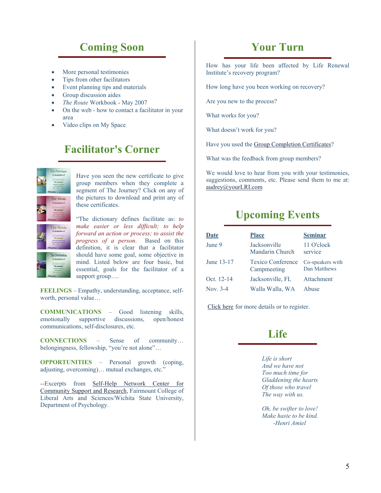# **Coming Soon**

- More personal testimonies
- Tips from other facilitators
- Event planning tips and materials
- Group discussion aides
- *The Route* Workbook May 2007
- On the web how to contact a facilitator in your area
- Video clips on My Space

# **Facilitator's Corner**



Have you seen the new certificate to give group members when they complete a segment of The Journey? Click on any of the pictures to download and print any of these certificates.

"The dictionary defines facilitate as: *to make easier or less difficult; to help forward an action or process; to assist the progress of a person*. Based on this definition, it is clear that a facilitator should have some goal, some objective in mind. Listed below are four basic, but essential, goals for the facilitator of a support group….

**FEELINGS** – Empathy, understanding, acceptance, selfworth, personal value…

**COMMUNICATIONS** – Good listening skills, emotionally supportive discussions, open/honest communications, self-disclosures, etc.

**CONNECTIONS** – Sense of community… belongingness, fellowship, "you're not alone"…

**OPPORTUNITIES** – Personal growth (coping, adjusting, overcoming)… mutual exchanges, etc."

--Excerpts from Self-Help Network Center for Community Support and Research, Fairmount College of Liberal Arts and Sciences/Wichita State University, Department of Psychology.

### **Your Turn**

How has your life been affected by Life Renewal Institute's recovery program?

How long have you been working on recovery?

Are you new to the process?

What works for you?

What doesn't work for you?

Have you used the Group Completion Certificates?

What was the feedback from group members?

We would love to hear from you with your testimonies, suggestions, comments, etc. Please send them to me at: audrey@yourLRI.com

# **Upcoming Events**

| <b>Date</b> | <b>Place</b>                            | <b>Seminar</b>                   |
|-------------|-----------------------------------------|----------------------------------|
| June 9      | Jacksonville<br><b>Mandarin Church</b>  | 11 O'clock<br>service            |
| June 13-17  | <b>Texico Conference</b><br>Campmeeting | Co-speakers with<br>Dan Matthews |
| Oct. 12-14  | Jacksonville, FL                        | Attachment                       |
| Nov. $3-4$  | Walla Walla, WA                         | Abuse                            |

Click here for more details or to register.

### **Life**

*Life is short And we have not Too much time for Gladdening the hearts Of those who travel The way with us.* 

*Oh, be swifter to love! Make haste to be kind. -Henri Amiel*